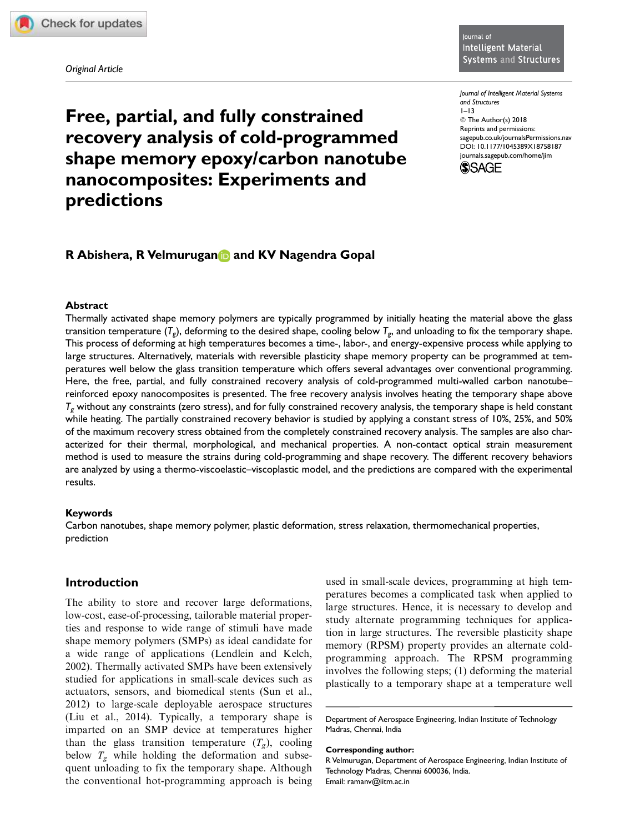Original Article

Journal of Intelligent Material Systems and Structures  $1 - 13$ © The Author(s) 2018 Reprints and permissions: sagepub.co.uk/journalsPermissions.nav DOI: 10.1177/1045389X18758187 journals.sagepub.com/home/jim



# Free, partial, and fully constrained recovery analysis of cold-programmed shape memory epoxy/carbon nanotube nanocomposites: Experiments and predictions

# R Abishera, R Velmurugan and KV Nagendra Gopal

# Abstract

Thermally activated shape memory polymers are typically programmed by initially heating the material above the glass transition temperature ( $\mathcal{T}_g$ ), deforming to the desired shape, cooling below  $\mathcal{T}_g$ , and unloading to fix the temporary shape. This process of deforming at high temperatures becomes a time-, labor-, and energy-expensive process while applying to large structures. Alternatively, materials with reversible plasticity shape memory property can be programmed at temperatures well below the glass transition temperature which offers several advantages over conventional programming. Here, the free, partial, and fully constrained recovery analysis of cold-programmed multi-walled carbon nanotube– reinforced epoxy nanocomposites is presented. The free recovery analysis involves heating the temporary shape above  $T_g$  without any constraints (zero stress), and for fully constrained recovery analysis, the temporary shape is held constant while heating. The partially constrained recovery behavior is studied by applying a constant stress of 10%, 25%, and 50% of the maximum recovery stress obtained from the completely constrained recovery analysis. The samples are also characterized for their thermal, morphological, and mechanical properties. A non-contact optical strain measurement method is used to measure the strains during cold-programming and shape recovery. The different recovery behaviors are analyzed by using a thermo-viscoelastic–viscoplastic model, and the predictions are compared with the experimental results.

# Keywords

Carbon nanotubes, shape memory polymer, plastic deformation, stress relaxation, thermomechanical properties, prediction

# Introduction

The ability to store and recover large deformations, low-cost, ease-of-processing, tailorable material properties and response to wide range of stimuli have made shape memory polymers (SMPs) as ideal candidate for a wide range of applications (Lendlein and Kelch, 2002). Thermally activated SMPs have been extensively studied for applications in small-scale devices such as actuators, sensors, and biomedical stents (Sun et al., 2012) to large-scale deployable aerospace structures (Liu et al., 2014). Typically, a temporary shape is imparted on an SMP device at temperatures higher than the glass transition temperature  $(T_g)$ , cooling below  $T_g$  while holding the deformation and subsequent unloading to fix the temporary shape. Although the conventional hot-programming approach is being

used in small-scale devices, programming at high temperatures becomes a complicated task when applied to large structures. Hence, it is necessary to develop and study alternate programming techniques for application in large structures. The reversible plasticity shape memory (RPSM) property provides an alternate coldprogramming approach. The RPSM programming involves the following steps; (1) deforming the material plastically to a temporary shape at a temperature well

Department of Aerospace Engineering, Indian Institute of Technology Madras, Chennai, India

Corresponding author:

R Velmurugan, Department of Aerospace Engineering, Indian Institute of Technology Madras, Chennai 600036, India. Email: ramanv@iitm.ac.in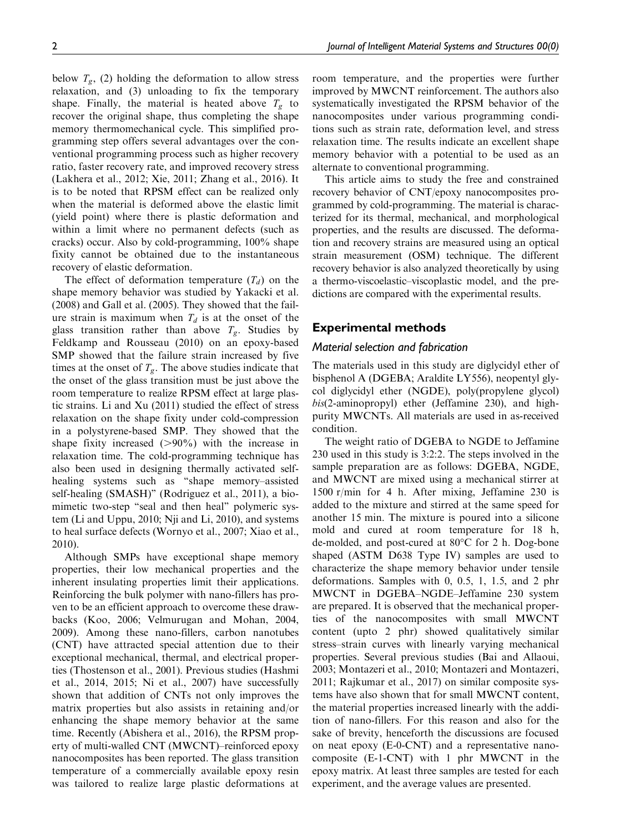below  $T_{\varrho}$ , (2) holding the deformation to allow stress relaxation, and (3) unloading to fix the temporary shape. Finally, the material is heated above  $T_g$  to recover the original shape, thus completing the shape memory thermomechanical cycle. This simplified programming step offers several advantages over the conventional programming process such as higher recovery ratio, faster recovery rate, and improved recovery stress (Lakhera et al., 2012; Xie, 2011; Zhang et al., 2016). It is to be noted that RPSM effect can be realized only when the material is deformed above the elastic limit (yield point) where there is plastic deformation and within a limit where no permanent defects (such as cracks) occur. Also by cold-programming, 100% shape fixity cannot be obtained due to the instantaneous recovery of elastic deformation.

The effect of deformation temperature  $(T_d)$  on the shape memory behavior was studied by Yakacki et al. (2008) and Gall et al. (2005). They showed that the failure strain is maximum when  $T_d$  is at the onset of the glass transition rather than above  $T_g$ . Studies by Feldkamp and Rousseau (2010) on an epoxy-based SMP showed that the failure strain increased by five times at the onset of  $T_{\varphi}$ . The above studies indicate that the onset of the glass transition must be just above the room temperature to realize RPSM effect at large plastic strains. Li and Xu (2011) studied the effect of stress relaxation on the shape fixity under cold-compression in a polystyrene-based SMP. They showed that the shape fixity increased  $(>90\%)$  with the increase in relaxation time. The cold-programming technique has also been used in designing thermally activated selfhealing systems such as ''shape memory–assisted self-healing (SMASH)'' (Rodriguez et al., 2011), a biomimetic two-step "seal and then heal" polymeric system (Li and Uppu, 2010; Nji and Li, 2010), and systems to heal surface defects (Wornyo et al., 2007; Xiao et al., 2010).

Although SMPs have exceptional shape memory properties, their low mechanical properties and the inherent insulating properties limit their applications. Reinforcing the bulk polymer with nano-fillers has proven to be an efficient approach to overcome these drawbacks (Koo, 2006; Velmurugan and Mohan, 2004, 2009). Among these nano-fillers, carbon nanotubes (CNT) have attracted special attention due to their exceptional mechanical, thermal, and electrical properties (Thostenson et al., 2001). Previous studies (Hashmi et al., 2014, 2015; Ni et al., 2007) have successfully shown that addition of CNTs not only improves the matrix properties but also assists in retaining and/or enhancing the shape memory behavior at the same time. Recently (Abishera et al., 2016), the RPSM property of multi-walled CNT (MWCNT)–reinforced epoxy nanocomposites has been reported. The glass transition temperature of a commercially available epoxy resin was tailored to realize large plastic deformations at room temperature, and the properties were further improved by MWCNT reinforcement. The authors also systematically investigated the RPSM behavior of the nanocomposites under various programming conditions such as strain rate, deformation level, and stress relaxation time. The results indicate an excellent shape memory behavior with a potential to be used as an alternate to conventional programming.

This article aims to study the free and constrained recovery behavior of CNT/epoxy nanocomposites programmed by cold-programming. The material is characterized for its thermal, mechanical, and morphological properties, and the results are discussed. The deformation and recovery strains are measured using an optical strain measurement (OSM) technique. The different recovery behavior is also analyzed theoretically by using a thermo-viscoelastic–viscoplastic model, and the predictions are compared with the experimental results.

# Experimental methods

# Material selection and fabrication

The materials used in this study are diglycidyl ether of bisphenol A (DGEBA; Araldite LY556), neopentyl glycol diglycidyl ether (NGDE), poly(propylene glycol) bis(2-aminopropyl) ether (Jeffamine 230), and highpurity MWCNTs. All materials are used in as-received condition.

The weight ratio of DGEBA to NGDE to Jeffamine 230 used in this study is 3:2:2. The steps involved in the sample preparation are as follows: DGEBA, NGDE, and MWCNT are mixed using a mechanical stirrer at 1500 r/min for 4 h. After mixing, Jeffamine 230 is added to the mixture and stirred at the same speed for another 15 min. The mixture is poured into a silicone mold and cured at room temperature for 18 h, de-molded, and post-cured at 80°C for 2 h. Dog-bone shaped (ASTM D638 Type IV) samples are used to characterize the shape memory behavior under tensile deformations. Samples with 0, 0.5, 1, 1.5, and 2 phr MWCNT in DGEBA–NGDE–Jeffamine 230 system are prepared. It is observed that the mechanical properties of the nanocomposites with small MWCNT content (upto 2 phr) showed qualitatively similar stress–strain curves with linearly varying mechanical properties. Several previous studies (Bai and Allaoui, 2003; Montazeri et al., 2010; Montazeri and Montazeri, 2011; Rajkumar et al., 2017) on similar composite systems have also shown that for small MWCNT content, the material properties increased linearly with the addition of nano-fillers. For this reason and also for the sake of brevity, henceforth the discussions are focused on neat epoxy (E-0-CNT) and a representative nanocomposite (E-1-CNT) with 1 phr MWCNT in the epoxy matrix. At least three samples are tested for each experiment, and the average values are presented.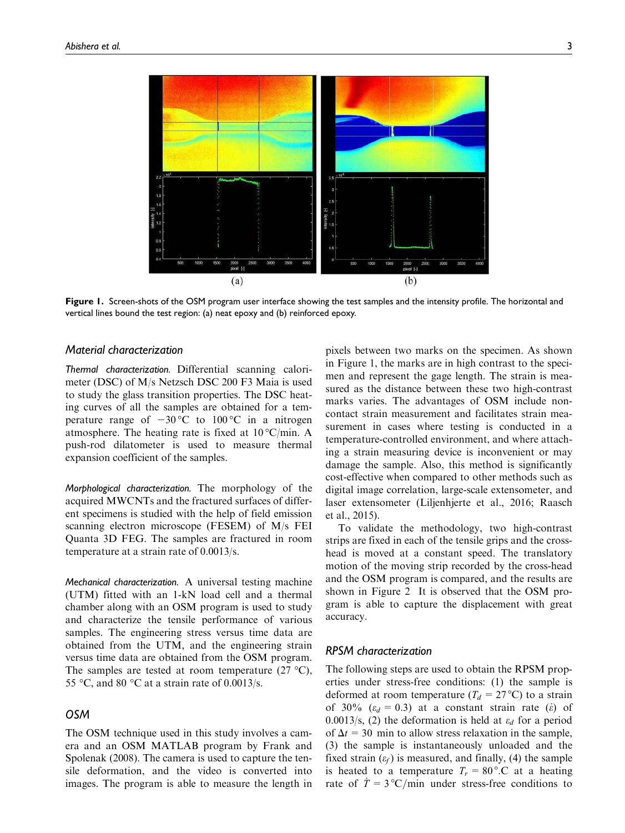

Figure 1. Screen-shots of the OSM program user interface showing the test samples and the intensity profile. The horizontal and vertical lines bound the test region: (a) neat epoxy and (b) reinforced epoxy.

## Material characterization

Thermal characterization. Differential scanning calorimeter (DSC) of M/s Netzsch DSC 200 F3 Maia is used to study the glass transition properties. The DSC heating curves of all the samples are obtained for a temperature range of  $-30^{\circ}$ C to  $100^{\circ}$ C in a nitrogen atmosphere. The heating rate is fixed at  $10^{\circ}$ C/min. A push-rod dilatometer is used to measure thermal expansion coefficient of the samples.

Morphological characterization. The morphology of the acquired MWCNTs and the fractured surfaces of different specimens is studied with the help of field emission scanning electron microscope (FESEM) of M/s FEI Quanta 3D FEG. The samples are fractured in room temperature at a strain rate of 0.0013/s.

Mechanical characterization. A universal testing machine (UTM) fitted with an 1-kN load cell and a thermal chamber along with an OSM program is used to study and characterize the tensile performance of various samples. The engineering stress versus time data are obtained from the UTM, and the engineering strain versus time data are obtained from the OSM program. The samples are tested at room temperature  $(27 \text{ °C})$ , 55 °C, and 80 °C at a strain rate of 0.0013/s.

# OSM

The OSM technique used in this study involves a camera and an OSM MATLAB program by Frank and Spolenak (2008). The camera is used to capture the tensile deformation, and the video is converted into images. The program is able to measure the length in pixels between two marks on the specimen. As shown in Figure 1, the marks are in high contrast to the specimen and represent the gage length. The strain is measured as the distance between these two high-contrast marks varies. The advantages of OSM include noncontact strain measurement and facilitates strain measurement in cases where testing is conducted in a temperature-controlled environment, and where attaching a strain measuring device is inconvenient or may damage the sample. Also, this method is significantly cost-effective when compared to other methods such as digital image correlation, large-scale extensometer, and laser extensometer (Liljenhjerte et al., 2016; Raasch et al., 2015).

To validate the methodology, two high-contrast strips are fixed in each of the tensile grips and the crosshead is moved at a constant speed. The translatory motion of the moving strip recorded by the cross-head and the OSM program is compared, and the results are shown in Figure 2 It is observed that the OSM program is able to capture the displacement with great accuracy.

# RPSM characterization

The following steps are used to obtain the RPSM properties under stress-free conditions: (1) the sample is deformed at room temperature ( $T_d = 27$ °C) to a strain of 30% ( $\varepsilon_d$  = 0.3) at a constant strain rate ( $\varepsilon$ ) of 0.0013/s, (2) the deformation is held at  $\varepsilon_d$  for a period of  $\Delta t = 30$  min to allow stress relaxation in the sample, (3) the sample is instantaneously unloaded and the fixed strain  $(\varepsilon_f)$  is measured, and finally, (4) the sample is heated to a temperature  $T_r = 80^\circ$ . C at a heating rate of  $\dot{T} = 3 \text{°C/min}$  under stress-free conditions to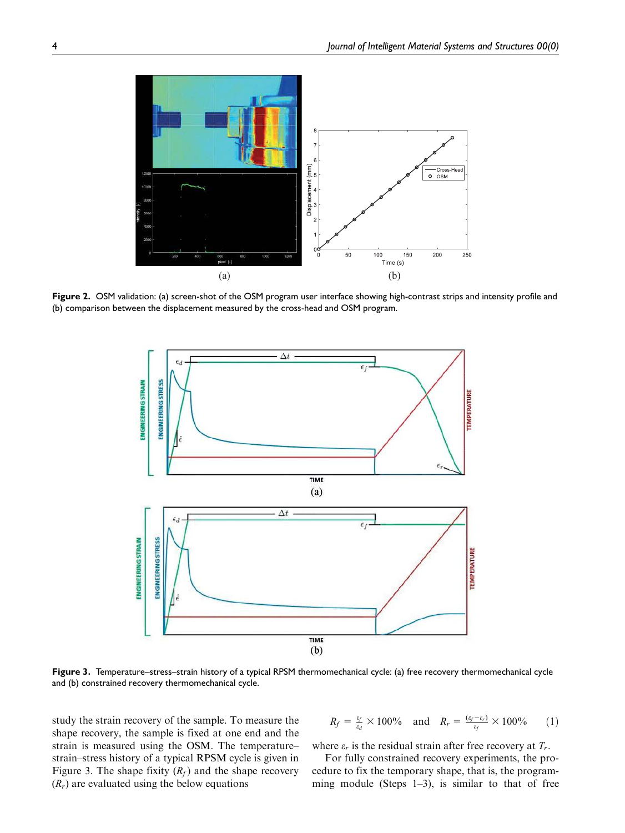

Figure 2. OSM validation: (a) screen-shot of the OSM program user interface showing high-contrast strips and intensity profile and (b) comparison between the displacement measured by the cross-head and OSM program.



Figure 3. Temperature–stress–strain history of a typical RPSM thermomechanical cycle: (a) free recovery thermomechanical cycle and (b) constrained recovery thermomechanical cycle.

study the strain recovery of the sample. To measure the shape recovery, the sample is fixed at one end and the strain is measured using the OSM. The temperature– strain–stress history of a typical RPSM cycle is given in Figure 3. The shape fixity  $(R_f)$  and the shape recovery  $(R_r)$  are evaluated using the below equations

$$
R_f = \frac{\varepsilon_f}{\varepsilon_d} \times 100\% \quad \text{and} \quad R_r = \frac{(\varepsilon_f - \varepsilon_r)}{\varepsilon_f} \times 100\% \tag{1}
$$

where  $\varepsilon_r$  is the residual strain after free recovery at  $T_r$ .

For fully constrained recovery experiments, the procedure to fix the temporary shape, that is, the programming module (Steps  $1-3$ ), is similar to that of free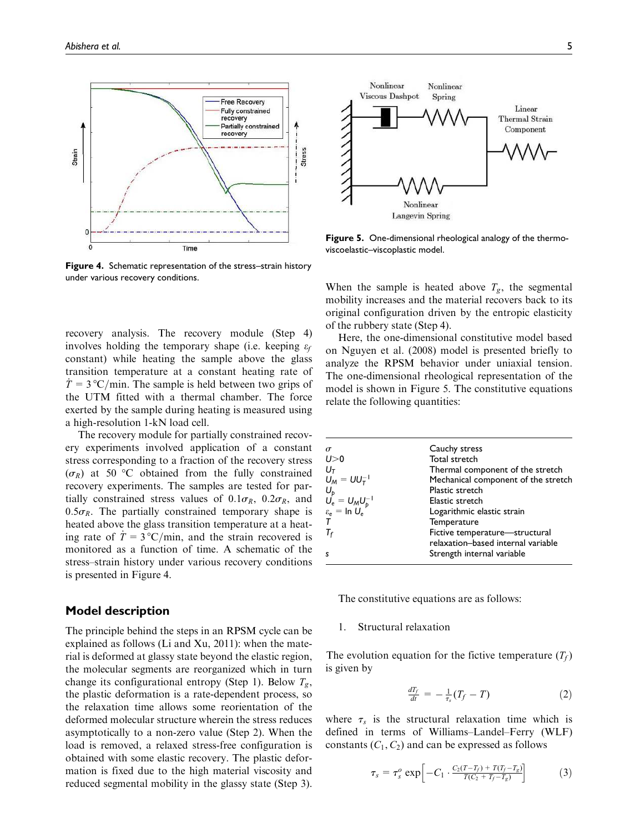

Figure 4. Schematic representation of the stress–strain history under various recovery conditions.

recovery analysis. The recovery module (Step 4) involves holding the temporary shape (i.e. keeping  $\varepsilon_f$ constant) while heating the sample above the glass transition temperature at a constant heating rate of  $\dot{T} = 3 \text{°C/min}$ . The sample is held between two grips of the UTM fitted with a thermal chamber. The force exerted by the sample during heating is measured using a high-resolution 1-kN load cell.

The recovery module for partially constrained recovery experiments involved application of a constant stress corresponding to a fraction of the recovery stress  $(\sigma_R)$  at 50 °C obtained from the fully constrained recovery experiments. The samples are tested for partially constrained stress values of  $0.1\sigma_R$ ,  $0.2\sigma_R$ , and  $0.5\sigma_R$ . The partially constrained temporary shape is heated above the glass transition temperature at a heating rate of  $\dot{T} = 3 \degree C/\text{min}$ , and the strain recovered is monitored as a function of time. A schematic of the stress–strain history under various recovery conditions is presented in Figure 4.

# Model description

The principle behind the steps in an RPSM cycle can be explained as follows (Li and Xu, 2011): when the material is deformed at glassy state beyond the elastic region, the molecular segments are reorganized which in turn change its configurational entropy (Step 1). Below  $T_{\varphi}$ , the plastic deformation is a rate-dependent process, so the relaxation time allows some reorientation of the deformed molecular structure wherein the stress reduces asymptotically to a non-zero value (Step 2). When the load is removed, a relaxed stress-free configuration is obtained with some elastic recovery. The plastic deformation is fixed due to the high material viscosity and reduced segmental mobility in the glassy state (Step 3).



Figure 5. One-dimensional rheological analogy of the thermoviscoelastic–viscoplastic model.

When the sample is heated above  $T_g$ , the segmental mobility increases and the material recovers back to its original configuration driven by the entropic elasticity of the rubbery state (Step 4).

Here, the one-dimensional constitutive model based on Nguyen et al. (2008) model is presented briefly to analyze the RPSM behavior under uniaxial tension. The one-dimensional rheological representation of the model is shown in Figure 5. The constitutive equations relate the following quantities:

| $\sigma$                             | Cauchy stress                       |
|--------------------------------------|-------------------------------------|
| U>0                                  | Total stretch                       |
| $U_T$                                | Thermal component of the stretch    |
| $U_M = U U_T^{-1}$                   | Mechanical component of the stretch |
|                                      | Plastic stretch                     |
| $U_{p}$<br>$U_{e} = U_{M}U_{p}^{-1}$ | Elastic stretch                     |
| $\varepsilon_e = \ln U_e$            | Logarithmic elastic strain          |
|                                      | Temperature                         |
| $T_f$                                | Fictive temperature-structural      |
|                                      | relaxation-based internal variable  |
| s                                    | Strength internal variable          |
|                                      |                                     |

The constitutive equations are as follows:

### 1. Structural relaxation

The evolution equation for the fictive temperature  $(T_f)$ is given by

$$
\frac{dT_f}{dt} = -\frac{1}{\tau_s}(T_f - T) \tag{2}
$$

where  $\tau_s$  is the structural relaxation time which is defined in terms of Williams–Landel–Ferry (WLF) constants  $(C_1, C_2)$  and can be expressed as follows

$$
\tau_s = \tau_s^o \exp\left[-C_1 \cdot \frac{C_2(T-T_f) + T(T_f - T_g)}{T(C_2 + T_f - T_g)}\right] \tag{3}
$$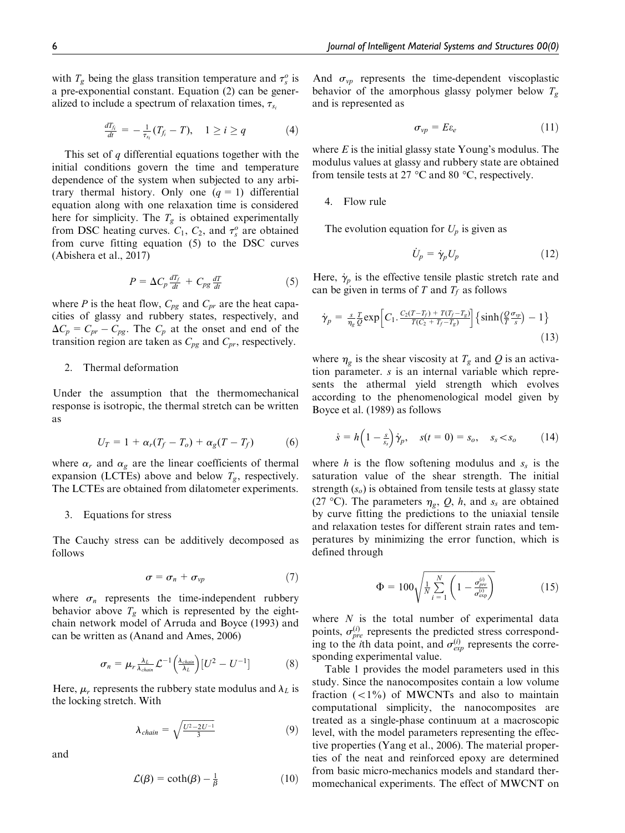with  $T_g$  being the glass transition temperature and  $\tau_s^o$  is a pre-exponential constant. Equation (2) can be generalized to include a spectrum of relaxation times,  $\tau_{s_i}$ 

$$
\frac{dT_{f_i}}{dt} = -\frac{1}{\tau_{s_i}}(T_{f_i} - T), \quad 1 \geq i \geq q \tag{4}
$$

This set of  $q$  differential equations together with the initial conditions govern the time and temperature dependence of the system when subjected to any arbitrary thermal history. Only one  $(q = 1)$  differential equation along with one relaxation time is considered here for simplicity. The  $T_g$  is obtained experimentally from DSC heating curves.  $C_1$ ,  $C_2$ , and  $\tau_s^o$  are obtained from curve fitting equation (5) to the DSC curves (Abishera et al., 2017)

$$
P = \Delta C_p \frac{dT_f}{dt} + C_{pg} \frac{dT}{dt} \tag{5}
$$

where P is the heat flow,  $C_{pg}$  and  $C_{pr}$  are the heat capacities of glassy and rubbery states, respectively, and  $\Delta C_p = C_{pr} - C_{pg}$ . The  $C_p$  at the onset and end of the transition region are taken as  $C_{pg}$  and  $C_{pr}$ , respectively.

## 2. Thermal deformation

Under the assumption that the thermomechanical response is isotropic, the thermal stretch can be written as

$$
U_T = 1 + \alpha_r (T_f - T_o) + \alpha_g (T - T_f) \tag{6}
$$

where  $\alpha_r$  and  $\alpha_g$  are the linear coefficients of thermal expansion (LCTEs) above and below  $T_g$ , respectively. The LCTEs are obtained from dilatometer experiments.

#### 3. Equations for stress

The Cauchy stress can be additively decomposed as follows

$$
\sigma = \sigma_n + \sigma_{vp} \tag{7}
$$

where  $\sigma_n$  represents the time-independent rubbery behavior above  $T_g$  which is represented by the eightchain network model of Arruda and Boyce (1993) and can be written as (Anand and Ames, 2006)

$$
\sigma_n = \mu_r \frac{\lambda_L}{\lambda_{chain}} \mathcal{L}^{-1} \left( \frac{\lambda_{chain}}{\lambda_L} \right) [U^2 - U^{-1}] \tag{8}
$$

Here,  $\mu_r$  represents the rubbery state modulus and  $\lambda_L$  is the locking stretch. With

$$
\lambda_{chain} = \sqrt{\frac{U^2 - 2U^{-1}}{3}} \tag{9}
$$

and

$$
\mathcal{L}(\beta) = \coth(\beta) - \frac{1}{\beta} \tag{10}
$$

And  $\sigma_{vp}$  represents the time-dependent viscoplastic behavior of the amorphous glassy polymer below  $T_g$ and is represented as

$$
\sigma_{vp} = E \varepsilon_e \tag{11}
$$

where  $E$  is the initial glassy state Young's modulus. The modulus values at glassy and rubbery state are obtained from tensile tests at 27  $\mathrm{^{\circ}C}$  and 80  $\mathrm{^{\circ}C}$ , respectively.

#### 4. Flow rule

The evolution equation for  $U_p$  is given as

$$
\dot{U}_p = \dot{\gamma}_p U_p \tag{12}
$$

Here,  $\dot{\gamma}_p$  is the effective tensile plastic stretch rate and can be given in terms of T and  $T_f$  as follows

$$
\dot{\gamma}_p = \frac{s}{\eta_g} \frac{T}{Q} \exp\left[C_1 \cdot \frac{C_2(T - T_f) + T(T_f - T_g)}{T(C_2 + T_f - T_g)}\right] \left\{ \sinh\left(\frac{Q}{T} \frac{\sigma_{vp}}{s}\right) - 1\right\} \tag{13}
$$

where  $\eta_g$  is the shear viscosity at  $T_g$  and Q is an activation parameter. s is an internal variable which represents the athermal yield strength which evolves according to the phenomenological model given by Boyce et al. (1989) as follows

$$
\dot{s} = h\left(1 - \frac{s}{s_s}\right)\dot{\gamma}_p, \quad s(t=0) = s_o, \quad s_s < s_o \tag{14}
$$

where h is the flow softening modulus and  $s<sub>s</sub>$  is the saturation value of the shear strength. The initial strength  $(s<sub>o</sub>)$  is obtained from tensile tests at glassy state (27 °C). The parameters  $\eta_g$ , Q, h, and  $s_s$  are obtained by curve fitting the predictions to the uniaxial tensile and relaxation testes for different strain rates and temperatures by minimizing the error function, which is defined through

$$
\Phi = 100 \sqrt{\frac{1}{N} \sum_{i=1}^{N} \left( 1 - \frac{\sigma_{pre}^{(i)}}{\sigma_{\text{exp}}^{(i)}} \right)}
$$
(15)

where  $N$  is the total number of experimental data points,  $\sigma_{pre}^{(i)}$  represents the predicted stress corresponding to the *i*th data point, and  $\sigma_{exp}^{(i)}$  represents the corresponding experimental value.

Table 1 provides the model parameters used in this study. Since the nanocomposites contain a low volume fraction  $\left(\langle 1\% \right)$  of MWCNTs and also to maintain computational simplicity, the nanocomposites are treated as a single-phase continuum at a macroscopic level, with the model parameters representing the effective properties (Yang et al., 2006). The material properties of the neat and reinforced epoxy are determined from basic micro-mechanics models and standard thermomechanical experiments. The effect of MWCNT on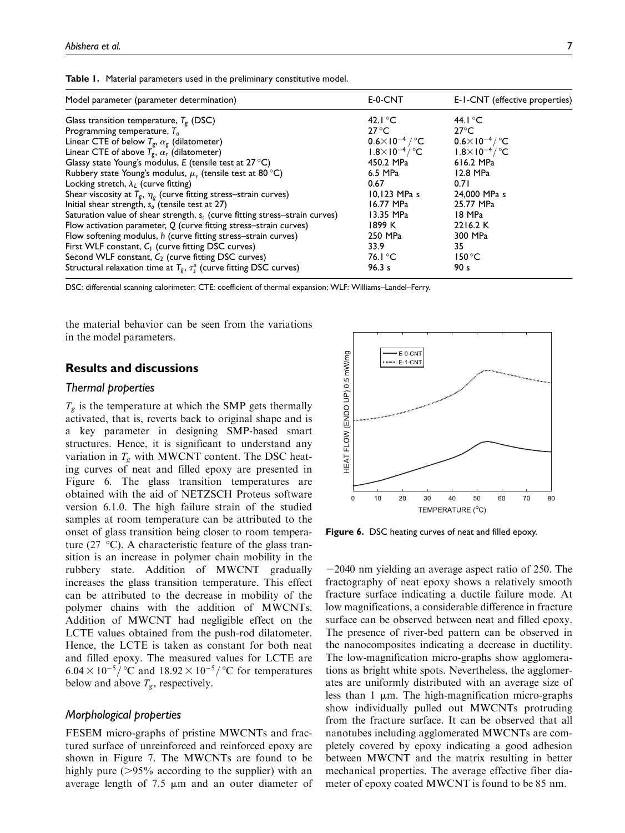|  |  |  |  |  |  | Table 1. Material parameters used in the preliminary constitutive model. |  |
|--|--|--|--|--|--|--------------------------------------------------------------------------|--|
|--|--|--|--|--|--|--------------------------------------------------------------------------|--|

| Model parameter (parameter determination)                                                     | E-0-CNT                           | E-I-CNT (effective properties)   |
|-----------------------------------------------------------------------------------------------|-----------------------------------|----------------------------------|
| Glass transition temperature, $T_g$ (DSC)                                                     | 42. $\mathsf{C}$                  | 44. $\mathsf{C}$                 |
| Programming temperature, $To$                                                                 | $27^{\circ}$ C                    | $27^{\circ}$ C                   |
| Linear CTE of below $T_g$ , $\alpha_g$ (dilatometer)                                          | $0.6\times10^{-4}$ / $^{\circ}$ C | $0.6 \times 10^{-4} / \degree$ C |
| Linear CTE of above $T_{g}$ , $\alpha_{r}$ (dilatometer)                                      | $1.8\times10^{-4}/$ °C            | $1.8\times10^{-4}/$ °C           |
| Glassy state Young's modulus, $E$ (tensile test at 27 °C)                                     | 450.2 MPa                         | 616.2 MPa                        |
| Rubbery state Young's modulus, $\mu_r$ (tensile test at 80 °C)                                | 6.5 MPa                           | 12.8 MPa                         |
| Locking stretch, $\lambda_L$ (curve fitting)                                                  | 0.67                              | 0.71                             |
| Shear viscosity at $T_g$ , $\eta_g$ (curve fitting stress–strain curves)                      | $10,123$ MPa s                    | 24,000 MPa s                     |
| Initial shear strength, $s_0$ (tensile test at 27)                                            | $16.77$ MPa                       | 25.77 MPa                        |
| Saturation value of shear strength, $s_s$ (curve fitting stress-strain curves)                | 13.35 MPa                         | 18 MPa                           |
| Flow activation parameter, Q (curve fitting stress-strain curves)                             | 1899 K                            | 2216.2 K                         |
| Flow softening modulus, h (curve fitting stress-strain curves)                                | 250 MPa                           | 300 MPa                          |
| First WLF constant, $C_1$ (curve fitting DSC curves)                                          | 33.9                              | 35                               |
| Second WLF constant, $C_2$ (curve fitting DSC curves)                                         | 76.1 °C                           | $150^{\circ}$ C                  |
| Structural relaxation time at $T_{\rm g}$ , $\tau_{\rm s}^{\rm o}$ (curve fitting DSC curves) | 96.3 s                            | 90 <sub>s</sub>                  |

DSC: differential scanning calorimeter; CTE: coefficient of thermal expansion; WLF: Williams–Landel–Ferry.

the material behavior can be seen from the variations in the model parameters.

# Results and discussions

#### Thermal properties

 $T_g$  is the temperature at which the SMP gets thermally activated, that is, reverts back to original shape and is a key parameter in designing SMP-based smart structures. Hence, it is significant to understand any variation in  $T_g$  with MWCNT content. The DSC heating curves of neat and filled epoxy are presented in Figure 6. The glass transition temperatures are obtained with the aid of NETZSCH Proteus software version 6.1.0. The high failure strain of the studied samples at room temperature can be attributed to the onset of glass transition being closer to room temperature (27  $\degree$ C). A characteristic feature of the glass transition is an increase in polymer chain mobility in the rubbery state. Addition of MWCNT gradually increases the glass transition temperature. This effect can be attributed to the decrease in mobility of the polymer chains with the addition of MWCNTs. Addition of MWCNT had negligible effect on the LCTE values obtained from the push-rod dilatometer. Hence, the LCTE is taken as constant for both neat and filled epoxy. The measured values for LCTE are  $6.04 \times 10^{-5}$  occurred and  $18.92 \times 10^{-5}$  occurred temperatures below and above  $T_g$ , respectively.

# Morphological properties

FESEM micro-graphs of pristine MWCNTs and fractured surface of unreinforced and reinforced epoxy are shown in Figure 7. The MWCNTs are found to be highly pure  $(>\!\!95\!\!%$  according to the supplier) with an average length of  $7.5 \mu m$  and an outer diameter of



Figure 6. DSC heating curves of neat and filled epoxy.

 $-2040$  nm yielding an average aspect ratio of 250. The fractography of neat epoxy shows a relatively smooth fracture surface indicating a ductile failure mode. At low magnifications, a considerable difference in fracture surface can be observed between neat and filled epoxy. The presence of river-bed pattern can be observed in the nanocomposites indicating a decrease in ductility. The low-magnification micro-graphs show agglomerations as bright white spots. Nevertheless, the agglomerates are uniformly distributed with an average size of less than  $1 \mu m$ . The high-magnification micro-graphs show individually pulled out MWCNTs protruding from the fracture surface. It can be observed that all nanotubes including agglomerated MWCNTs are completely covered by epoxy indicating a good adhesion between MWCNT and the matrix resulting in better mechanical properties. The average effective fiber diameter of epoxy coated MWCNT is found to be 85 nm.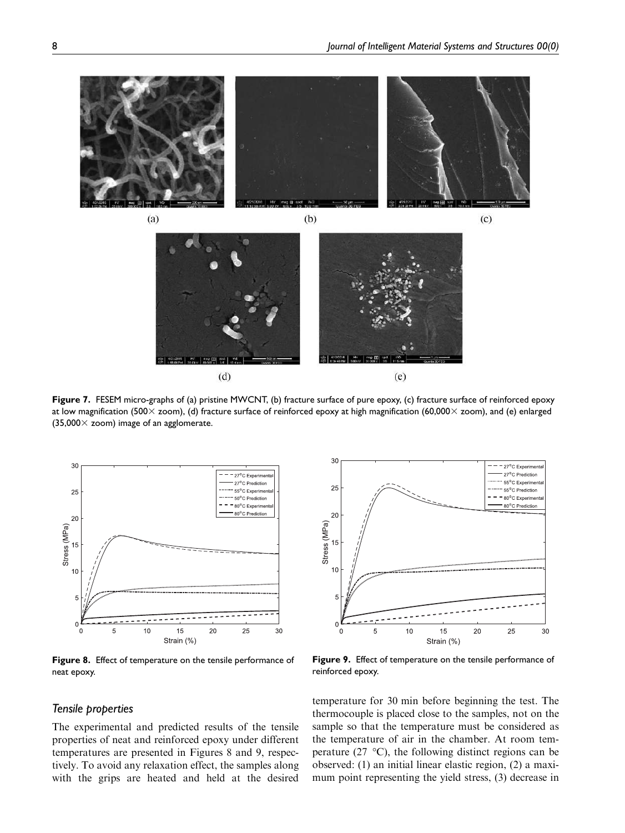

![](_page_7_Figure_2.jpeg)

Figure 7. FESEM micro-graphs of (a) pristine MWCNT, (b) fracture surface of pure epoxy, (c) fracture surface of reinforced epoxy at low magnification (500 $\times$  zoom), (d) fracture surface of reinforced epoxy at high magnification (60,000 $\times$  zoom), and (e) enlarged  $(35,000 \times$  zoom) image of an agglomerate.

![](_page_7_Figure_4.jpeg)

Figure 8. Effect of temperature on the tensile performance of neat epoxy.

# Tensile properties

The experimental and predicted results of the tensile properties of neat and reinforced epoxy under different temperatures are presented in Figures 8 and 9, respectively. To avoid any relaxation effect, the samples along with the grips are heated and held at the desired

![](_page_7_Figure_8.jpeg)

Figure 9. Effect of temperature on the tensile performance of reinforced epoxy.

temperature for 30 min before beginning the test. The thermocouple is placed close to the samples, not on the sample so that the temperature must be considered as the temperature of air in the chamber. At room temperature (27  $\degree$ C), the following distinct regions can be observed: (1) an initial linear elastic region, (2) a maximum point representing the yield stress, (3) decrease in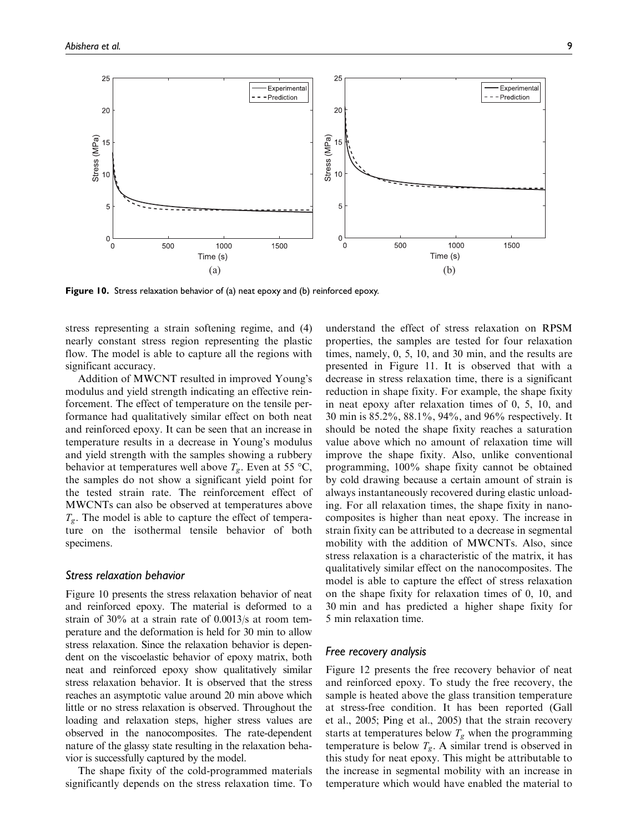![](_page_8_Figure_2.jpeg)

Figure 10. Stress relaxation behavior of (a) neat epoxy and (b) reinforced epoxy.

stress representing a strain softening regime, and (4) nearly constant stress region representing the plastic flow. The model is able to capture all the regions with significant accuracy.

Addition of MWCNT resulted in improved Young's modulus and yield strength indicating an effective reinforcement. The effect of temperature on the tensile performance had qualitatively similar effect on both neat and reinforced epoxy. It can be seen that an increase in temperature results in a decrease in Young's modulus and yield strength with the samples showing a rubbery behavior at temperatures well above  $T_g$ . Even at 55 °C, the samples do not show a significant yield point for the tested strain rate. The reinforcement effect of MWCNTs can also be observed at temperatures above  $T_{\varrho}$ . The model is able to capture the effect of temperature on the isothermal tensile behavior of both specimens.

## Stress relaxation behavior

Figure 10 presents the stress relaxation behavior of neat and reinforced epoxy. The material is deformed to a strain of 30% at a strain rate of 0.0013/s at room temperature and the deformation is held for 30 min to allow stress relaxation. Since the relaxation behavior is dependent on the viscoelastic behavior of epoxy matrix, both neat and reinforced epoxy show qualitatively similar stress relaxation behavior. It is observed that the stress reaches an asymptotic value around 20 min above which little or no stress relaxation is observed. Throughout the loading and relaxation steps, higher stress values are observed in the nanocomposites. The rate-dependent nature of the glassy state resulting in the relaxation behavior is successfully captured by the model.

The shape fixity of the cold-programmed materials significantly depends on the stress relaxation time. To understand the effect of stress relaxation on RPSM properties, the samples are tested for four relaxation times, namely, 0, 5, 10, and 30 min, and the results are presented in Figure 11. It is observed that with a decrease in stress relaxation time, there is a significant reduction in shape fixity. For example, the shape fixity in neat epoxy after relaxation times of 0, 5, 10, and 30 min is 85.2%, 88.1%, 94%, and 96% respectively. It should be noted the shape fixity reaches a saturation value above which no amount of relaxation time will improve the shape fixity. Also, unlike conventional programming, 100% shape fixity cannot be obtained by cold drawing because a certain amount of strain is always instantaneously recovered during elastic unloading. For all relaxation times, the shape fixity in nanocomposites is higher than neat epoxy. The increase in strain fixity can be attributed to a decrease in segmental mobility with the addition of MWCNTs. Also, since stress relaxation is a characteristic of the matrix, it has qualitatively similar effect on the nanocomposites. The model is able to capture the effect of stress relaxation on the shape fixity for relaxation times of 0, 10, and 30 min and has predicted a higher shape fixity for 5 min relaxation time.

# Free recovery analysis

Figure 12 presents the free recovery behavior of neat and reinforced epoxy. To study the free recovery, the sample is heated above the glass transition temperature at stress-free condition. It has been reported (Gall et al., 2005; Ping et al., 2005) that the strain recovery starts at temperatures below  $T_g$  when the programming temperature is below  $T_{g}$ . A similar trend is observed in this study for neat epoxy. This might be attributable to the increase in segmental mobility with an increase in temperature which would have enabled the material to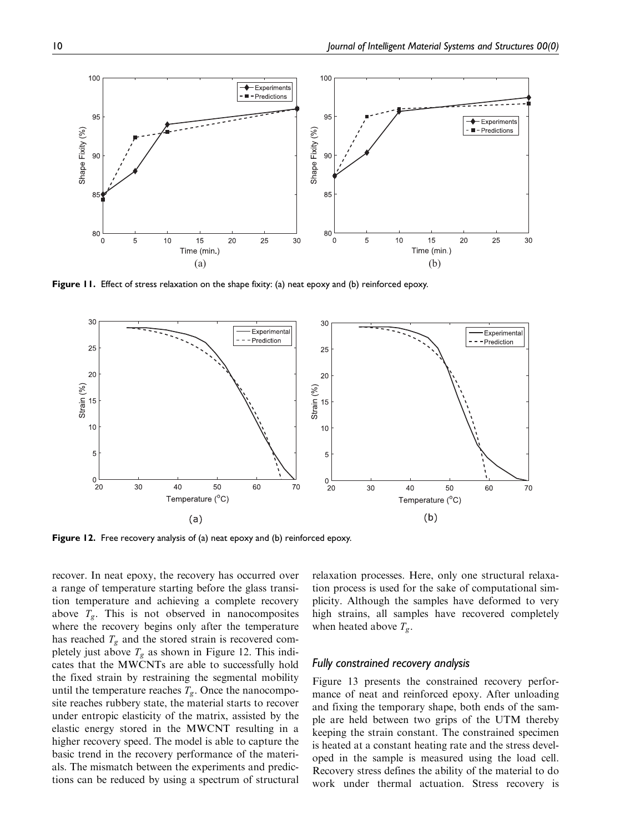![](_page_9_Figure_1.jpeg)

Figure 11. Effect of stress relaxation on the shape fixity: (a) neat epoxy and (b) reinforced epoxy.

![](_page_9_Figure_3.jpeg)

Figure 12. Free recovery analysis of (a) neat epoxy and (b) reinforced epoxy.

recover. In neat epoxy, the recovery has occurred over a range of temperature starting before the glass transition temperature and achieving a complete recovery above  $T_g$ . This is not observed in nanocomposites where the recovery begins only after the temperature has reached  $T_g$  and the stored strain is recovered completely just above  $T_g$  as shown in Figure 12. This indicates that the MWCNTs are able to successfully hold the fixed strain by restraining the segmental mobility until the temperature reaches  $T_g$ . Once the nanocomposite reaches rubbery state, the material starts to recover under entropic elasticity of the matrix, assisted by the elastic energy stored in the MWCNT resulting in a higher recovery speed. The model is able to capture the basic trend in the recovery performance of the materials. The mismatch between the experiments and predictions can be reduced by using a spectrum of structural relaxation processes. Here, only one structural relaxation process is used for the sake of computational simplicity. Although the samples have deformed to very high strains, all samples have recovered completely when heated above  $T_{g}$ .

#### Fully constrained recovery analysis

Figure 13 presents the constrained recovery performance of neat and reinforced epoxy. After unloading and fixing the temporary shape, both ends of the sample are held between two grips of the UTM thereby keeping the strain constant. The constrained specimen is heated at a constant heating rate and the stress developed in the sample is measured using the load cell. Recovery stress defines the ability of the material to do work under thermal actuation. Stress recovery is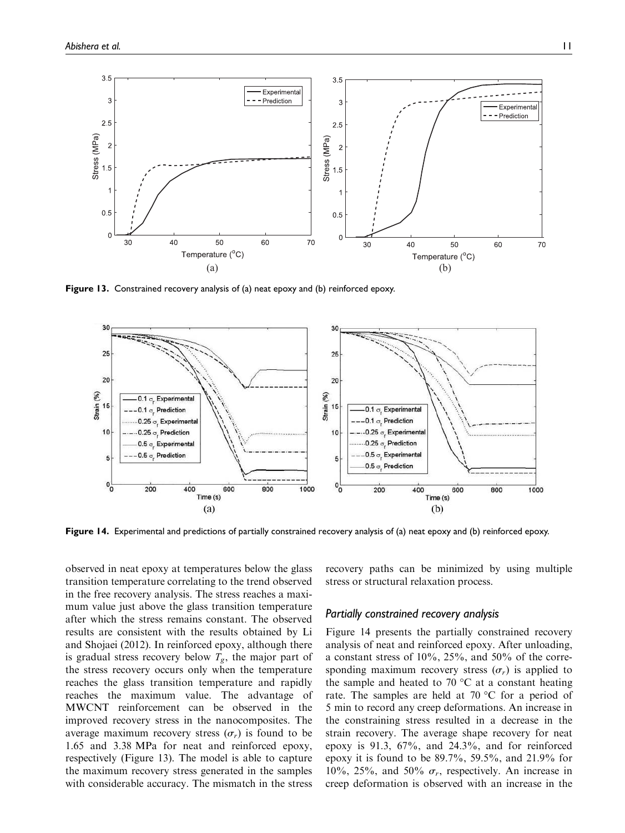![](_page_10_Figure_1.jpeg)

Figure 13. Constrained recovery analysis of (a) neat epoxy and (b) reinforced epoxy.

![](_page_10_Figure_3.jpeg)

Figure 14. Experimental and predictions of partially constrained recovery analysis of (a) neat epoxy and (b) reinforced epoxy.

observed in neat epoxy at temperatures below the glass transition temperature correlating to the trend observed in the free recovery analysis. The stress reaches a maximum value just above the glass transition temperature after which the stress remains constant. The observed results are consistent with the results obtained by Li and Shojaei (2012). In reinforced epoxy, although there is gradual stress recovery below  $T_{g}$ , the major part of the stress recovery occurs only when the temperature reaches the glass transition temperature and rapidly reaches the maximum value. The advantage of MWCNT reinforcement can be observed in the improved recovery stress in the nanocomposites. The average maximum recovery stress  $(\sigma_r)$  is found to be 1.65 and 3.38 MPa for neat and reinforced epoxy, respectively (Figure 13). The model is able to capture the maximum recovery stress generated in the samples with considerable accuracy. The mismatch in the stress recovery paths can be minimized by using multiple stress or structural relaxation process.

# Partially constrained recovery analysis

Figure 14 presents the partially constrained recovery analysis of neat and reinforced epoxy. After unloading, a constant stress of  $10\%$ ,  $25\%$ , and  $50\%$  of the corresponding maximum recovery stress  $(\sigma_r)$  is applied to the sample and heated to 70  $\degree$ C at a constant heating rate. The samples are held at 70  $\degree$ C for a period of 5 min to record any creep deformations. An increase in the constraining stress resulted in a decrease in the strain recovery. The average shape recovery for neat epoxy is 91.3, 67%, and 24.3%, and for reinforced epoxy it is found to be 89.7%, 59.5%, and 21.9% for 10%, 25%, and 50%  $\sigma_r$ , respectively. An increase in creep deformation is observed with an increase in the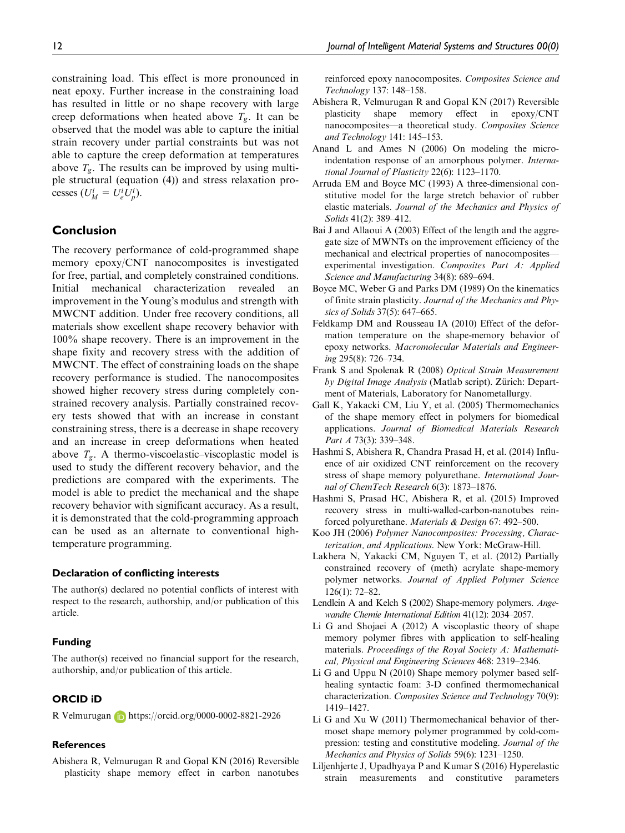constraining load. This effect is more pronounced in neat epoxy. Further increase in the constraining load has resulted in little or no shape recovery with large creep deformations when heated above  $T_g$ . It can be observed that the model was able to capture the initial strain recovery under partial constraints but was not able to capture the creep deformation at temperatures above  $T_{\varrho}$ . The results can be improved by using multiple structural (equation (4)) and stress relaxation processes  $(U_M^i = U_e^i U_p^i)$ .

# Conclusion

The recovery performance of cold-programmed shape memory epoxy/CNT nanocomposites is investigated for free, partial, and completely constrained conditions. Initial mechanical characterization revealed an improvement in the Young's modulus and strength with MWCNT addition. Under free recovery conditions, all materials show excellent shape recovery behavior with 100% shape recovery. There is an improvement in the shape fixity and recovery stress with the addition of MWCNT. The effect of constraining loads on the shape recovery performance is studied. The nanocomposites showed higher recovery stress during completely constrained recovery analysis. Partially constrained recovery tests showed that with an increase in constant constraining stress, there is a decrease in shape recovery and an increase in creep deformations when heated above  $T_{\sigma}$ . A thermo-viscoelastic–viscoplastic model is used to study the different recovery behavior, and the predictions are compared with the experiments. The model is able to predict the mechanical and the shape recovery behavior with significant accuracy. As a result, it is demonstrated that the cold-programming approach can be used as an alternate to conventional hightemperature programming.

#### Declaration of conflicting interests

The author(s) declared no potential conflicts of interest with respect to the research, authorship, and/or publication of this article.

#### Funding

The author(s) received no financial support for the research, authorship, and/or publication of this article.

# ORCID iD

R Velmurugan https://orcid.org/0000-0002-8821-2926

#### References

Abishera R, Velmurugan R and Gopal KN (2016) Reversible plasticity shape memory effect in carbon nanotubes reinforced epoxy nanocomposites. Composites Science and Technology 137: 148–158.

- Abishera R, Velmurugan R and Gopal KN (2017) Reversible plasticity shape memory effect in epoxy/CNT nanocomposites—a theoretical study. Composites Science and Technology 141: 145–153.
- Anand L and Ames N (2006) On modeling the microindentation response of an amorphous polymer. International Journal of Plasticity 22(6): 1123–1170.
- Arruda EM and Boyce MC (1993) A three-dimensional constitutive model for the large stretch behavior of rubber elastic materials. Journal of the Mechanics and Physics of Solids 41(2): 389–412.
- Bai J and Allaoui A (2003) Effect of the length and the aggregate size of MWNTs on the improvement efficiency of the mechanical and electrical properties of nanocomposites experimental investigation. Composites Part A: Applied Science and Manufacturing 34(8): 689–694.
- Boyce MC, Weber G and Parks DM (1989) On the kinematics of finite strain plasticity. Journal of the Mechanics and Physics of Solids 37(5): 647–665.
- Feldkamp DM and Rousseau IA (2010) Effect of the deformation temperature on the shape-memory behavior of epoxy networks. Macromolecular Materials and Engineering 295(8): 726–734.
- Frank S and Spolenak R (2008) Optical Strain Measurement by Digital Image Analysis (Matlab script). Zürich: Department of Materials, Laboratory for Nanometallurgy.
- Gall K, Yakacki CM, Liu Y, et al. (2005) Thermomechanics of the shape memory effect in polymers for biomedical applications. Journal of Biomedical Materials Research Part A 73(3): 339–348.
- Hashmi S, Abishera R, Chandra Prasad H, et al. (2014) Influence of air oxidized CNT reinforcement on the recovery stress of shape memory polyurethane. International Journal of ChemTech Research 6(3): 1873–1876.
- Hashmi S, Prasad HC, Abishera R, et al. (2015) Improved recovery stress in multi-walled-carbon-nanotubes reinforced polyurethane. Materials & Design 67: 492–500.
- Koo JH (2006) Polymer Nanocomposites: Processing, Characterization, and Applications. New York: McGraw-Hill.
- Lakhera N, Yakacki CM, Nguyen T, et al. (2012) Partially constrained recovery of (meth) acrylate shape-memory polymer networks. Journal of Applied Polymer Science 126(1): 72–82.
- Lendlein A and Kelch S (2002) Shape-memory polymers. Angewandte Chemie International Edition 41(12): 2034–2057.
- Li G and Shojaei A (2012) A viscoplastic theory of shape memory polymer fibres with application to self-healing materials. Proceedings of the Royal Society A: Mathematical, Physical and Engineering Sciences 468: 2319–2346.
- Li G and Uppu N (2010) Shape memory polymer based selfhealing syntactic foam: 3-D confined thermomechanical characterization. Composites Science and Technology 70(9): 1419–1427.
- Li G and Xu W (2011) Thermomechanical behavior of thermoset shape memory polymer programmed by cold-compression: testing and constitutive modeling. Journal of the Mechanics and Physics of Solids 59(6): 1231–1250.
- Liljenhjerte J, Upadhyaya P and Kumar S (2016) Hyperelastic strain measurements and constitutive parameters